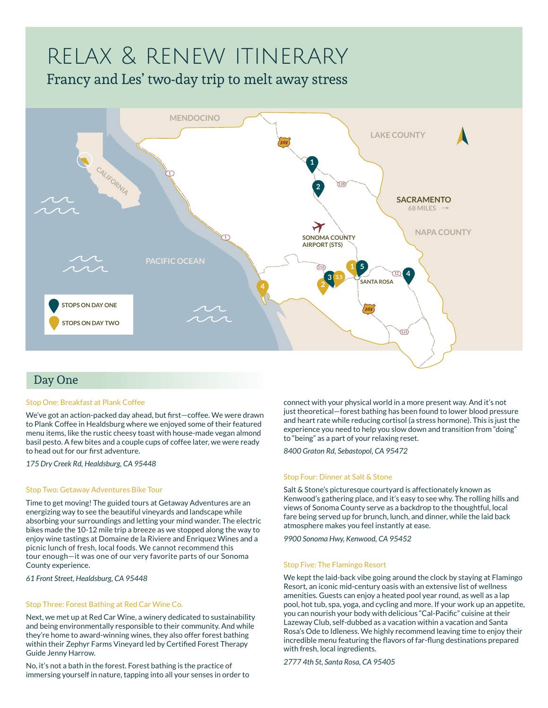# relax & renew itinerary

Francy and Les' two-day trip to melt away stress



# Day One

## Stop One: Breakfast at Plank Coffee

We've got an action-packed day ahead, but first—coffee. We were drawn to Plank Coffee in Healdsburg where we enjoyed some of their featured menu items, like the rustic cheesy toast with house-made vegan almond basil pesto. A few bites and a couple cups of coffee later, we were ready to head out for our first adventure.

*175 Dry Creek Rd, Healdsburg, CA 95448*

## Stop Two: Getaway Adventures Bike Tour

Time to get moving! The guided tours at Getaway Adventures are an energizing way to see the beautiful vineyards and landscape while absorbing your surroundings and letting your mind wander. The electric bikes made the 10-12 mile trip a breeze as we stopped along the way to enjoy wine tastings at Domaine de la Riviere and Enriquez Wines and a picnic lunch of fresh, local foods. We cannot recommend this tour enough—it was one of our very favorite parts of our Sonoma County experience.

*61 Front Street, Healdsburg, CA 95448*

## Stop Three: Forest Bathing at Red Car Wine Co.

Next, we met up at Red Car Wine, a winery dedicated to sustainability and being environmentally responsible to their community. And while they're home to award-winning wines, they also offer forest bathing within their Zephyr Farms Vineyard led by Certified Forest Therapy Guide Jenny Harrow.

No, it's not a bath in the forest. Forest bathing is the practice of immersing yourself in nature, tapping into all your senses in order to connect with your physical world in a more present way. And it's not just theoretical—forest bathing has been found to lower blood pressure and heart rate while reducing cortisol (a stress hormone). This is just the experience you need to help you slow down and transition from "doing" to "being" as a part of your relaxing reset.

*8400 Graton Rd, Sebastopol, CA 95472*

# Stop Four: Dinner at Salt & Stone

Salt & Stone's picturesque courtyard is affectionately known as Kenwood's gathering place, and it's easy to see why. The rolling hills and views of Sonoma County serve as a backdrop to the thoughtful, local fare being served up for brunch, lunch, and dinner, while the laid back atmosphere makes you feel instantly at ease.

*9900 Sonoma Hwy, Kenwood, CA 95452*

## Stop Five: The Flamingo Resort

We kept the laid-back vibe going around the clock by staying at Flamingo Resort, an iconic mid-century oasis with an extensive list of wellness amenities. Guests can enjoy a heated pool year round, as well as a lap pool, hot tub, spa, yoga, and cycling and more. If your work up an appetite, you can nourish your body with delicious "Cal-Pacific" cuisine at their Lazeway Club, self-dubbed as a vacation within a vacation and Santa Rosa's Ode to Idleness. We highly recommend leaving time to enjoy their incredible menu featuring the flavors of far-flung destinations prepared with fresh, local ingredients.

*2777 4th St, Santa Rosa, CA 95405*